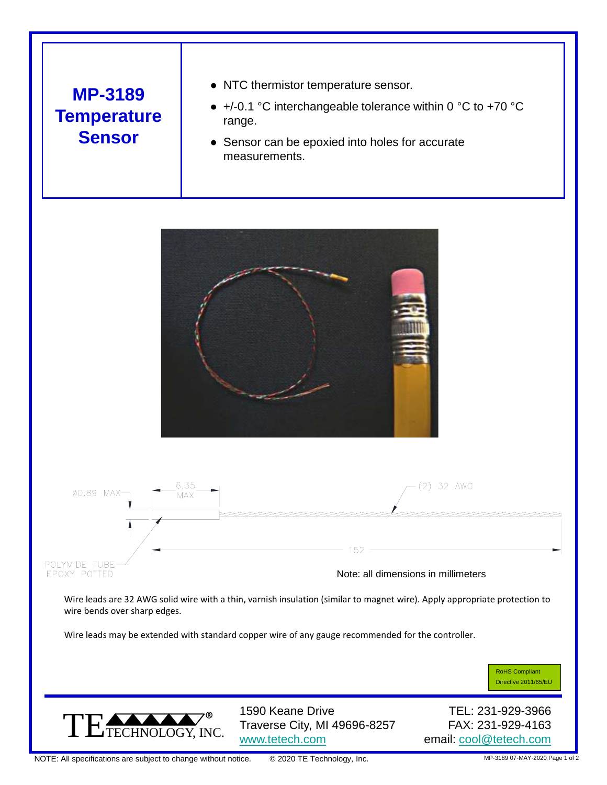